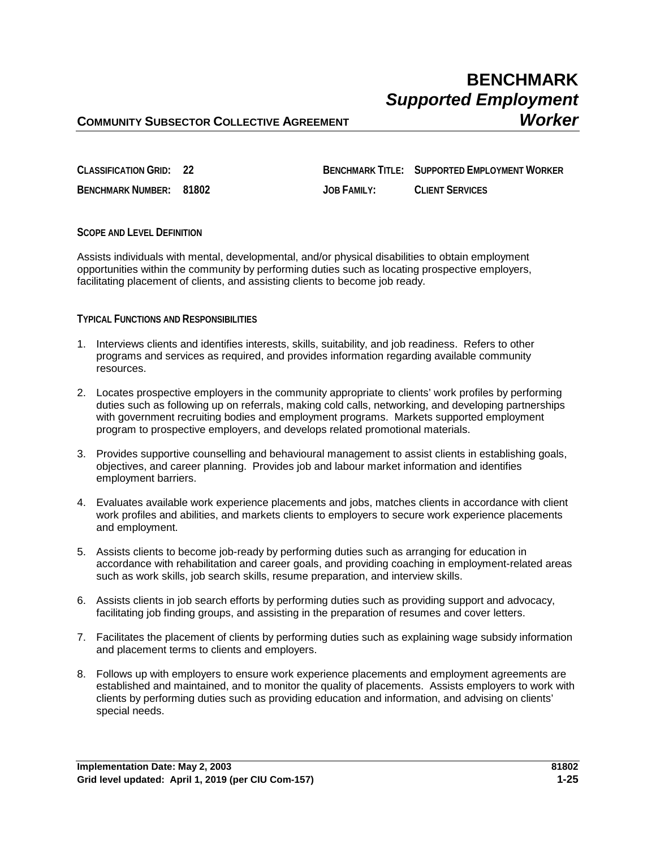## **BENCHMARK** *Supported Employment*

### **COMMUNITY SUBSECTOR COLLECTIVE AGREEMENT** *Worker*

**CLASSIFICATION GRID: 22 BENCHMARK TITLE: SUPPORTED EMPLOYMENT WORKER BENCHMARK NUMBER: 81802 JOB FAMILY: CLIENT SERVICES**

#### **SCOPE AND LEVEL DEFINITION**

Assists individuals with mental, developmental, and/or physical disabilities to obtain employment opportunities within the community by performing duties such as locating prospective employers, facilitating placement of clients, and assisting clients to become job ready.

#### **TYPICAL FUNCTIONS AND RESPONSIBILITIES**

- 1. Interviews clients and identifies interests, skills, suitability, and job readiness. Refers to other programs and services as required, and provides information regarding available community resources.
- 2. Locates prospective employers in the community appropriate to clients' work profiles by performing duties such as following up on referrals, making cold calls, networking, and developing partnerships with government recruiting bodies and employment programs. Markets supported employment program to prospective employers, and develops related promotional materials.
- 3. Provides supportive counselling and behavioural management to assist clients in establishing goals, objectives, and career planning. Provides job and labour market information and identifies employment barriers.
- 4. Evaluates available work experience placements and jobs, matches clients in accordance with client work profiles and abilities, and markets clients to employers to secure work experience placements and employment.
- 5. Assists clients to become job-ready by performing duties such as arranging for education in accordance with rehabilitation and career goals, and providing coaching in employment-related areas such as work skills, job search skills, resume preparation, and interview skills.
- 6. Assists clients in job search efforts by performing duties such as providing support and advocacy, facilitating job finding groups, and assisting in the preparation of resumes and cover letters.
- 7. Facilitates the placement of clients by performing duties such as explaining wage subsidy information and placement terms to clients and employers.
- 8. Follows up with employers to ensure work experience placements and employment agreements are established and maintained, and to monitor the quality of placements. Assists employers to work with clients by performing duties such as providing education and information, and advising on clients' special needs.